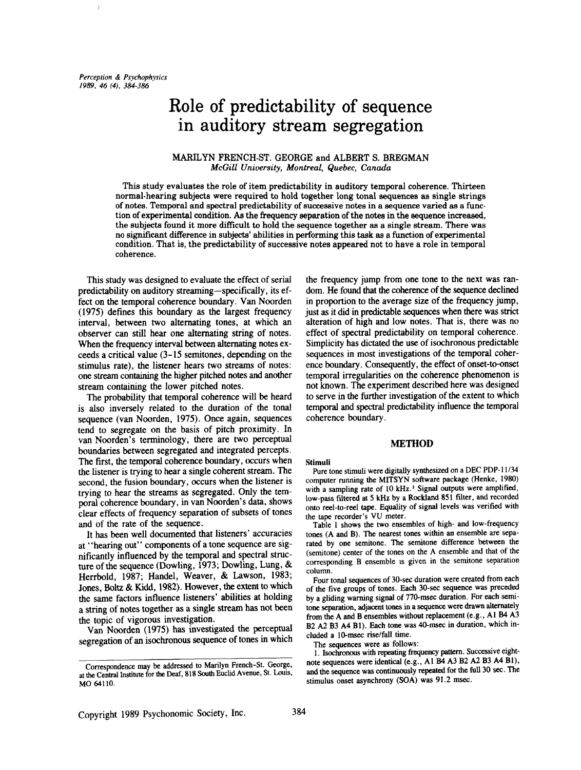# **Role of predictability of sequence in auditory stream segregation**

## MARILYN FRENCH-ST. GEORGE and ALBERT S. BREGMAN *McGill University, Montreal, Quebec, Canada*

This study evaluates the role of item predictability in auditory temporal coherence. Thirteen normal-hearing subjects were required to hold together long tonal sequences as single strings of notes. Temporal and spectral predictability of successive notes in a sequence varied as a function of experimental condition. As the frequency separation of the notes in the sequence increased, the subjects found it more difficult to hold the sequence together as a single stream. There was no significant difference in subjects' abilities in performing this task as a function of experimental condition. That is, the predictability of successive notes appeared not to have a role in temporal coherence.

This study was designed to evaluate the effect of serial predictability on auditory streaming--specifically, its effect on the temporal coherence boundary. Van Noorden (1975) defines this boundary as the largest frequency interval, between two alternating tones, at which an observer can still hear one alternating string of notes. When the frequency interval between alternating notes exceeds a critical value (3-15 semitones, depending on the stimulus rate), the listener hears two streams of notes: one stream containing the higher pitched notes and another stream containing the lower pitched notes.

The probability that temporal coherence will be heard is also inversely related to the duration of the tonal sequence (van Noorden, 1975). Once again, sequences tend to segregate on the basis of pitch proximity. In van Noorden's terminology, there are two perceptual boundaries between segregated and integrated percepts. The first, the temporal coherence boundary, occurs when the listener is trying to hear a single coherent stream. The second, the fusion boundary, occurs when the listener is trying to hear the streams as segregated. Only the temporal coherence boundary, in van Noorden's data, shows clear effects of frequency separation of subsets of tones and of the rate of the sequence.

It has been well documented that listeners' accuracies at "hearing out" components of a tone sequence are significantly influenced by the temporal and spectral structure of the sequence (Dowling, 1973; Dowling, Lung, & Herrbold, 1987; Handel, Weaver, & Lawson, 1983; Jones, Boltz & Kidd, 1982). However, the extent to which the same factors influence listeners' abilities at holding a string of notes together as a single stream has not been the topic of vigorous investigation.

Van Noorden (1975) has investigated the perceptual segregation of an isochronous sequence of tones in which

the frequency jump from one tone to the next was random. He found that the coherence of the sequence declined in proportion to the average size of the frequency jump, just as it did in predictable sequences when there was strict alteration of high and low notes. That is, there was no effect of spectral predictability on temporal coherence. Simplicity has dictated the use of isochronous predictable sequences in most investigations of the temporal coherence boundary. Consequently, the effect of onset-to-onset temporal irregularities on the coherence phenomenon is not known. The experiment described here was designed to serve in the further investigation of the extent to which temporal and spectral predictability influence the temporal coherence boundary.

### **METHOD**

#### Stimuli

Pure tone stimuli were digitally synthesized on a DEC PDP-11/34 computer running the MITSYN software package (Henke, 1980) with a sampling rate of 10 kHz.<sup>1</sup> Signal outputs were amplified, low-pass filtered at 5 kHz by a Rockland 851 filter, and recorded onto reel-to-reel tape. Equality of signal levels was verified with the tape recorder's VU meter.

Table 1 shows the two ensembles of high- and low-frequency tones (A and B). The nearest tones within an ensemble are separated by one semitone. The semitone difference between the (semitone) center of the tones on the A ensemble and that of the corresponding B ensemble ts given in the semitone separation column.

Four tonal sequences of 30-sec duration were created from each of the five groups of tones. Each 30-sec sequence was preceded by a gliding warning signal of 770-msec duration. For each semitone separation, adjacent tones in a sequence were drawn alternately from the A and B ensembles without replacement (e.g., A1 B4 A3 B2 A2 B3 A4 B1). Each tone was 40-msec in duration, which included a 10-msec rise/fall time.

The sequences were as follows:

1. Isochronous with repeating frequency pattern. Successive eightnote sequences were identical (e.g., A1 B4 A3 B2 A2 B3 A4 B1), and the sequence wss continuously repeated for the full 30 sec. The stimulus onset asynchrony (SOA) was 91.2 msec.

Correspondence may be addressed to Marilyn French-St. George, at the Central Institute for the Deaf, 818 South Euclid Avenue, St. Louis, MO 64110.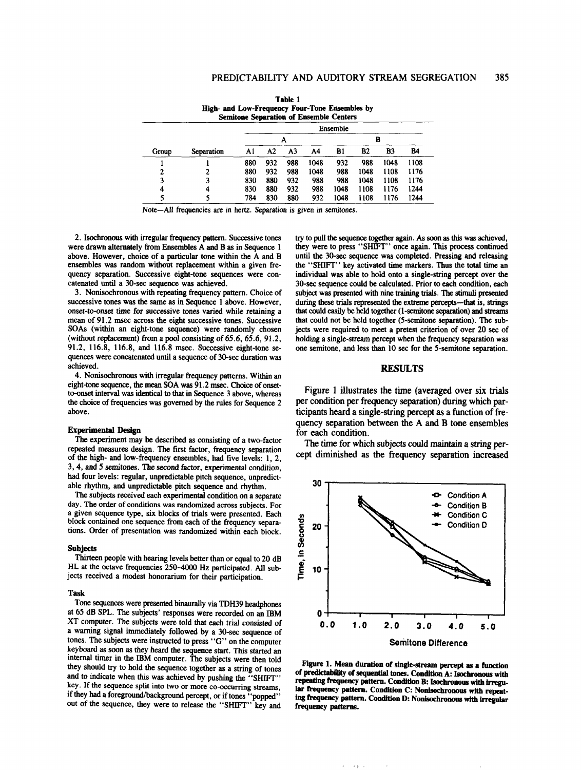|       |            | High- and Low-Frequency Four-Tone Ensembles by<br><b>Semitone Separation of Ensemble Centers</b> |     |     |      |      |      |      |      |  |
|-------|------------|--------------------------------------------------------------------------------------------------|-----|-----|------|------|------|------|------|--|
|       |            | Ensemble                                                                                         |     |     |      |      |      |      |      |  |
|       |            | A                                                                                                |     |     |      | R    |      |      |      |  |
| Group | Separation | Al                                                                                               | A2  | A3  | A4   | B1   | B2   | B3   | B4   |  |
|       |            | 880                                                                                              | 932 | 988 | 1048 | 932  | 988  | 1048 | 1108 |  |
| 2     | 2          | 880                                                                                              | 932 | 988 | 1048 | 988  | 1048 | 1108 | 1176 |  |
| 3     |            | 830                                                                                              | 880 | 932 | 988  | 988  | 1048 | 1108 | 1176 |  |
| 4     | 4          | 830                                                                                              | 880 | 932 | 988  | 1048 | 1108 | 1176 | 1244 |  |
|       |            | 784                                                                                              | 830 | 880 | 932  | 1048 | 1108 | 1176 | 1244 |  |

**Table I**

Note--All frequencies are in hertz. Separation is given in semitones.

2. Isochronous with irregular frequency pattern. Successive tones were drawn alternately from Ensembles A and B as in Sequence 1 above. However, choice of a particular tone within the A and B ensembles was random without replacement within a given frequency separation. Successive eight-tone sequences were concatenated until a 30-see sequence was achieved.

3. Nonisochronons with repeating frequency pattern. Choice of successive tones was the same as in Sequence 1 above. However, onset-to-onset time for successive tones varied while retaining a mean of 91.2 msec across the eight successive tones. Successive SOAs (within an eight-tone sequence) were randomly chosen (without replacement) from a pool consisting of 65.6, 65.6, 91.2, 91.2, 116.8, 116.8, and 116.8 msec. Successive eight-tone sequences were concatenated until a sequence of 30-see duration was achieved.

4. Nonisochronous with irregular frequency patterns. Within an eight-tone sequence, the mean SOA was 91.2 msec. Choice of onsetto-onset interval was identical to that in Sequence 3 above, whereas the choice of frequencies was governed by the rules for Sequence 2 above.

#### Experimental Design

The experiment may be described as consisting of a two-factor repeated measures design. The first factor, frequency separation of the high- and low-frequency ensembles, had five levels: 1, 2, 3, 4, and 5 semitones. The second factor, experimental condition, had four levels: regular, unpredictable pitch sequence, unpredictable rhythm, and unpredictable pitch sequence and rhythm.

The subjects received each experimental condition on a separate day. The order of conditions was randomized across subjects. For a given sequence type, six blocks of trials were presented. Each block contained one sequence from each of the frequency separations. Order of presentation was randomized within each block.

#### Subjects

Thirteen people with hearing levels better than or equal to 20 dB HL at the octave frequencies 250-4000 Hz participated. All subjects received a modest honorarium for their participation.

#### Task

Tone sequences were presented binaurally via TDH39 headphones at 65 dB SPL. The subjects' responses were recorded on an IBM XT computer. The subjects were told that each trial *consisted of* a warning signal immediately followed by a 30-see sequence of tones. The subjects were instructed to press "G" on the computer keyboard as soon as they heard the sequence start. This started a internal timer in the IBM computer. The subjects were then told they should try to hold the sequence together as a string of tones and to indicate when this was achieved by pushing the *"SHIFT"* key. If the sequence split into two or more co-occurring streams, if they had a foreground/background percept, or if tones "popped" out of the sequence, they were to release the "SHIFT" key and

try to pull the sequence together again. As soon as this was achieved, they were to press "SHIFI"' once again. This process continued until the 30-see sequence was completed. Pressing and releasing the "SHIFT" key activated time markers. Thus the total time an individual was able to hold onto a single-string percept over the 30-see sequence could be calculated. Prior to each condition, each subject was presented with nine training trials. The stimuli presented during these trials represented the extreme percepts--that is, strings that could easily be held together (1 -semitone separation) and streams that could not be held together (5-semitone separation). The subjects were required to meet a pretest criterion of over 20 sec of holding a *single-stream* percept when the frequency separation was one semitone, and less than 10 sec for the 5-semitone separation.

## **RESULTS**

**Figure 1 illustrates the time (averaged over six trials per condition per frequency separation) during which participants heard a single-string percept as a function of frequency separation between the A and B tone ensembles for each condition.**

**The time for which subjects could maintain a string percept diminished as the frequency separation increased**



Figure 1. Mean duration of single-stream percept as a function **of predictability of** sequential tones. Condition A: Isnehronons with repeating trequency pattern. Condition B: Iseehronons with irregular frequency pattern. **Condition C: Nonisechronous with repeating** frequency pattern. Condition D: Nonisochronous with irregular frequency patterns.